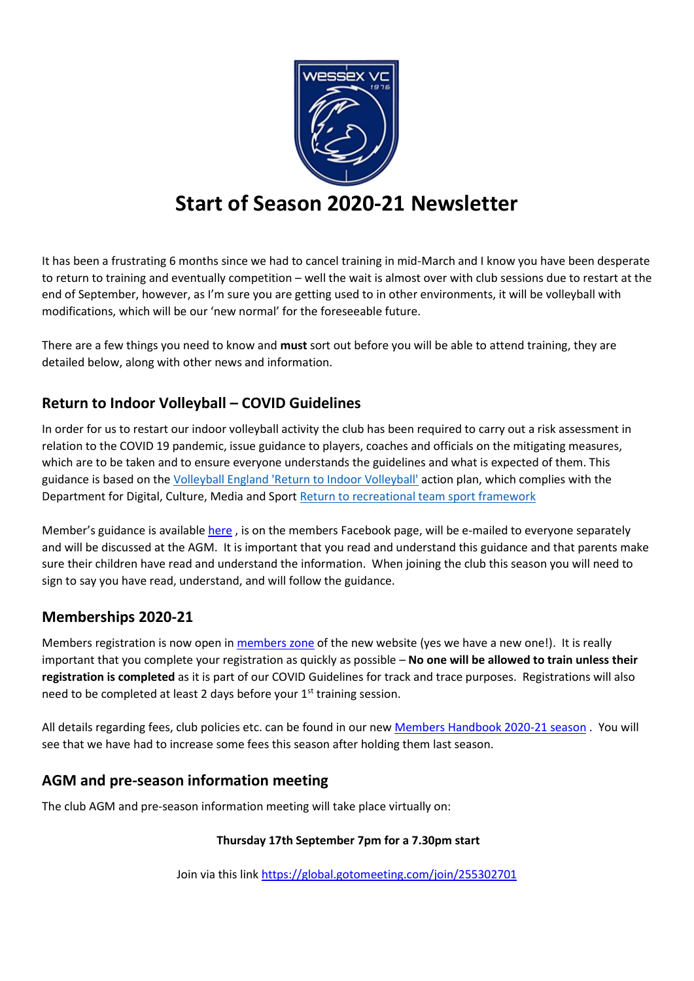

# **Start of Season 2020-21 Newsletter**

It has been a frustrating 6 months since we had to cancel training in mid-March and I know you have been desperate to return to training and eventually competition – well the wait is almost over with club sessions due to restart at the end of September, however, as I'm sure you are getting used to in other environments, it will be volleyball with modifications, which will be our 'new normal' for the foreseeable future.

There are a few things you need to know and **must** sort out before you will be able to attend training, they are detailed below, along with other news and information.

## **Return to Indoor Volleyball – COVID Guidelines**

In order for us to restart our indoor volleyball activity the club has been required to carry out a risk assessment in relation to the COVID 19 pandemic, issue guidance to players, coaches and officials on the mitigating measures, which are to be taken and to ensure everyone understands the guidelines and what is expected of them. This guidance is based on the [Volleyball England 'Return to Indoor Volleyball'](https://media.volleyballengland.org/docs/Return%20to%20play%20indoor%20volleyball%20-%20sport%20specific%20action%20plan.pdf) action plan, which complies with the Department for Digital, Culture, Media and Sport [Return to recreational team sport framework](https://www.gov.uk/government/publications/coronavirus-covid-19-guidance-on-phased-return-of-sport-and-recreation/return-to-recreational-team-sport-framework) 

Member's guidance is available [here](https://7cf2c077-ec0f-4fbd-9860-4e0c865be052.filesusr.com/ugd/e54d66_5cecbcfde575450dbed372a9e89e18dc.pdf), is on the members Facebook page, will be e-mailed to everyone separately and will be discussed at the AGM. It is important that you read and understand this guidance and that parents make sure their children have read and understand the information. When joining the club this season you will need to sign to say you have read, understand, and will follow the guidance.

## **Memberships 2020-21**

Members registration is now open in [members zone](https://www.wessexvolleyball.com/members-zone) of the new website (yes we have a new one!). It is really important that you complete your registration as quickly as possible – **No one will be allowed to train unless their registration is completed** as it is part of our COVID Guidelines for track and trace purposes. Registrations will also need to be completed at least 2 days before your 1<sup>st</sup> training session.

All details regarding fees, club policies etc. can be found in our ne[w Members Handbook 2020-21 season](https://7cf2c077-ec0f-4fbd-9860-4e0c865be052.filesusr.com/ugd/e54d66_b011897dcd174d219523ec4caf958965.pdf) . You will see that we have had to increase some fees this season after holding them last season.

## **AGM and pre-season information meeting**

The club AGM and pre-season information meeting will take place virtually on:

#### **Thursday 17th September 7pm for a 7.30pm start**

Join via this link [https://global.gotomeeting.com/join/255302701](https://l.facebook.com/l.php?u=https%3A%2F%2Fglobal.gotomeeting.com%2Fjoin%2F255302701%3Ffbclid%3DIwAR1u5FkO-RMM1pVFsGkoOI7CxrUBdC1IMyc5XPSt02Pjy-u1NHfa25nkIUw&h=AT31z9mUjSYNelUyBjiJtCXmmBSsz8i6jQ_OV0ZTa7iCegZFurVl96COCXPBhDdEQgg1PFc8Zz45bwmM_clB50INutBl26dA4KrepchioptzagLRUp7U6KcbslmgocO--lpz7E81BKMlsm2h0S8L&__tn__=-UK-R&c%5b0%5d=AT0tb4FD_6-s8XrRH6Up69LPlgxEgV6mLLWzUg4fbbgvFJKxgKTMB8VdWV2EfagJdf7BrJFZxu8wD6Syr1-fHAAtGC2WdgdQGdKUMM2SVsop6PRI3BFKZWCG1u8r84uN7uufGyvNikGyqxlc08ra53lg5sCrw5OnLiMv7E_rFno1K6lb6EbMKQYti598Ydj3LbonMDF1rzHDXxBV)